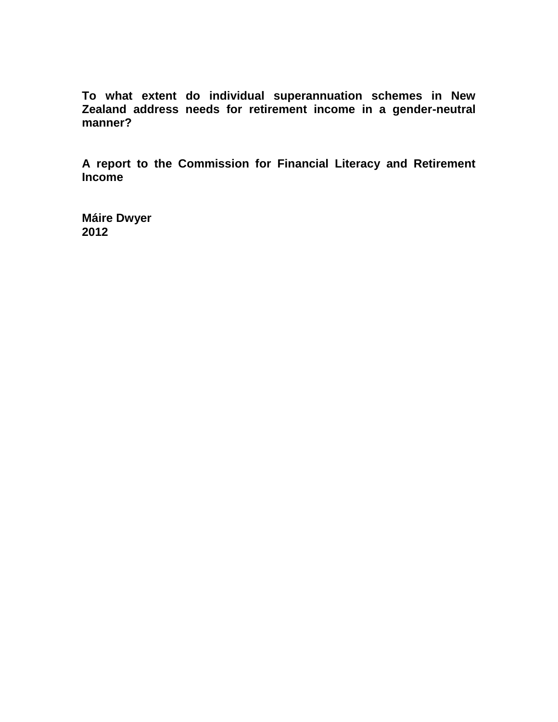**To what extent do individual superannuation schemes in New Zealand address needs for retirement income in a gender-neutral manner?** 

**A report to the Commission for Financial Literacy and Retirement Income**

**Máire Dwyer 2012**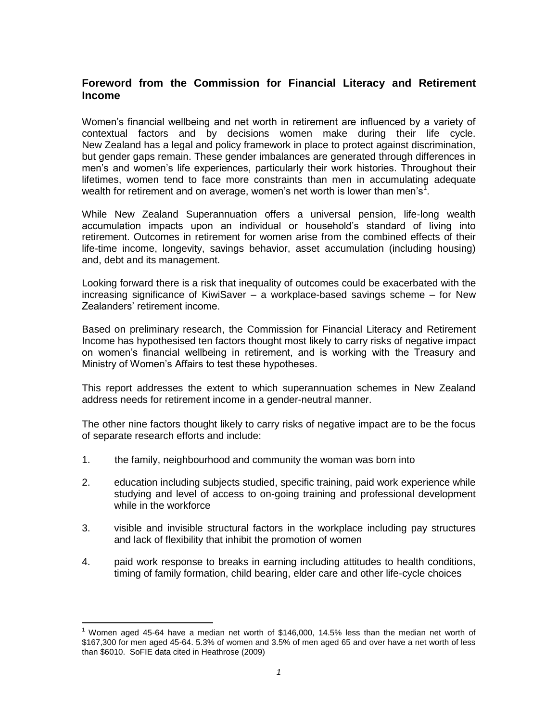# **Foreword from the Commission for Financial Literacy and Retirement Income**

Women's financial wellbeing and net worth in retirement are influenced by a variety of contextual factors and by decisions women make during their life cycle. New Zealand has a legal and policy framework in place to protect against discrimination, but gender gaps remain. These gender imbalances are generated through differences in men's and women's life experiences, particularly their work histories. Throughout their lifetimes, women tend to face more constraints than men in accumulating adequate wealth for retirement and on average, women's net worth is lower than men's<sup>1</sup>.

While New Zealand Superannuation offers a universal pension, life-long wealth accumulation impacts upon an individual or household's standard of living into retirement. Outcomes in retirement for women arise from the combined effects of their life-time income, longevity, savings behavior, asset accumulation (including housing) and, debt and its management.

Looking forward there is a risk that inequality of outcomes could be exacerbated with the increasing significance of KiwiSaver – a workplace-based savings scheme – for New Zealanders' retirement income.

Based on preliminary research, the Commission for Financial Literacy and Retirement Income has hypothesised ten factors thought most likely to carry risks of negative impact on women's financial wellbeing in retirement, and is working with the Treasury and Ministry of Women's Affairs to test these hypotheses.

This report addresses the extent to which superannuation schemes in New Zealand address needs for retirement income in a gender-neutral manner.

The other nine factors thought likely to carry risks of negative impact are to be the focus of separate research efforts and include:

1. the family, neighbourhood and community the woman was born into

 $\overline{a}$ 

- 2. education including subjects studied, specific training, paid work experience while studying and level of access to on-going training and professional development while in the workforce
- 3. visible and invisible structural factors in the workplace including pay structures and lack of flexibility that inhibit the promotion of women
- 4. paid work response to breaks in earning including attitudes to health conditions, timing of family formation, child bearing, elder care and other life-cycle choices

<sup>1</sup> Women aged 45-64 have a median net worth of \$146,000, 14.5% less than the median net worth of \$167,300 for men aged 45-64. 5.3% of women and 3.5% of men aged 65 and over have a net worth of less than \$6010. SoFIE data cited in Heathrose (2009)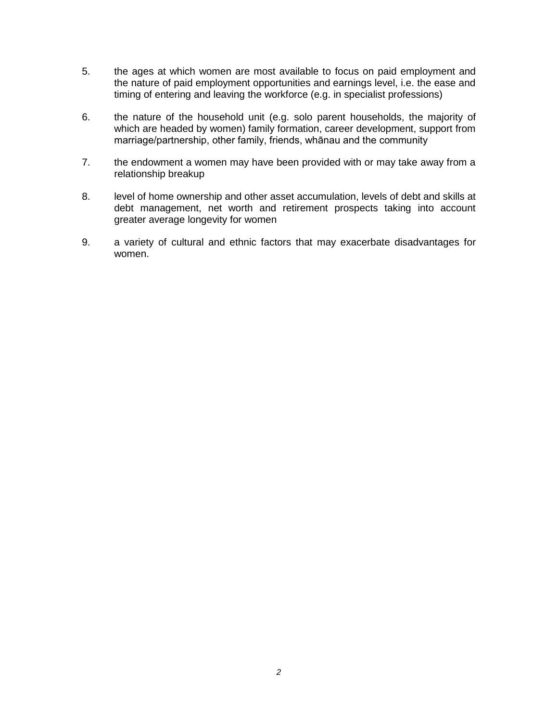- 5. the ages at which women are most available to focus on paid employment and the nature of paid employment opportunities and earnings level, i.e. the ease and timing of entering and leaving the workforce (e.g. in specialist professions)
- 6. the nature of the household unit (e.g. solo parent households, the majority of which are headed by women) family formation, career development, support from marriage/partnership, other family, friends, whānau and the community
- 7. the endowment a women may have been provided with or may take away from a relationship breakup
- 8. level of home ownership and other asset accumulation, levels of debt and skills at debt management, net worth and retirement prospects taking into account greater average longevity for women
- 9. a variety of cultural and ethnic factors that may exacerbate disadvantages for women.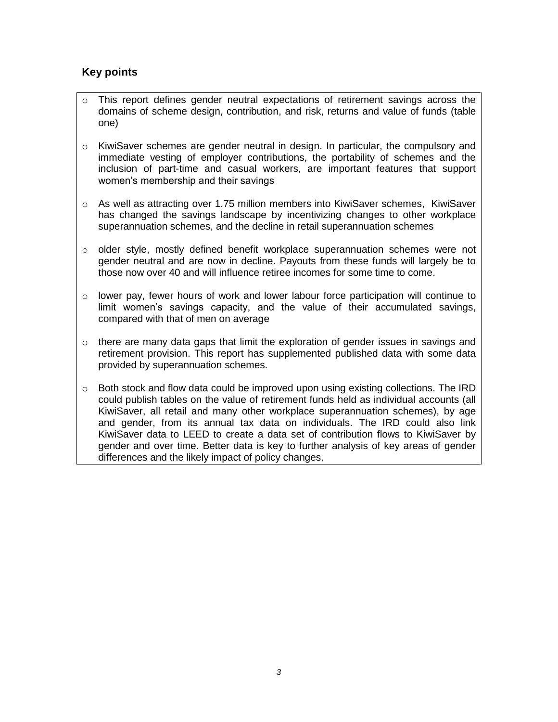# **Key points**

- o This report defines gender neutral expectations of retirement savings across the domains of scheme design, contribution, and risk, returns and value of funds (table one)
- o KiwiSaver schemes are gender neutral in design. In particular, the compulsory and immediate vesting of employer contributions, the portability of schemes and the inclusion of part-time and casual workers, are important features that support women's membership and their savings
- $\circ$  As well as attracting over 1.75 million members into KiwiSaver schemes, KiwiSaver has changed the savings landscape by incentivizing changes to other workplace superannuation schemes, and the decline in retail superannuation schemes
- $\circ$  older style, mostly defined benefit workplace superannuation schemes were not gender neutral and are now in decline. Payouts from these funds will largely be to those now over 40 and will influence retiree incomes for some time to come.
- $\circ$  lower pay, fewer hours of work and lower labour force participation will continue to limit women's savings capacity, and the value of their accumulated savings, compared with that of men on average
- $\circ$  there are many data gaps that limit the exploration of gender issues in savings and retirement provision. This report has supplemented published data with some data provided by superannuation schemes.
- $\circ$  Both stock and flow data could be improved upon using existing collections. The IRD could publish tables on the value of retirement funds held as individual accounts (all KiwiSaver, all retail and many other workplace superannuation schemes), by age and gender, from its annual tax data on individuals. The IRD could also link KiwiSaver data to LEED to create a data set of contribution flows to KiwiSaver by gender and over time. Better data is key to further analysis of key areas of gender differences and the likely impact of policy changes.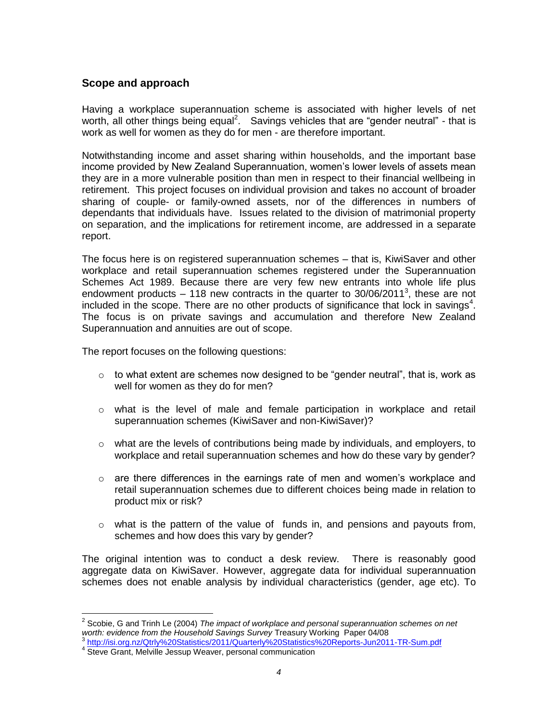# **Scope and approach**

Having a workplace superannuation scheme is associated with higher levels of net worth, all other things being equal<sup>2</sup>. Savings vehicles that are "gender neutral" - that is work as well for women as they do for men - are therefore important.

Notwithstanding income and asset sharing within households, and the important base income provided by New Zealand Superannuation, women's lower levels of assets mean they are in a more vulnerable position than men in respect to their financial wellbeing in retirement. This project focuses on individual provision and takes no account of broader sharing of couple- or family-owned assets, nor of the differences in numbers of dependants that individuals have. Issues related to the division of matrimonial property on separation, and the implications for retirement income, are addressed in a separate report.

The focus here is on registered superannuation schemes – that is, KiwiSaver and other workplace and retail superannuation schemes registered under the Superannuation Schemes Act 1989. Because there are very few new entrants into whole life plus endowment products  $-118$  new contracts in the quarter to 30/06/2011<sup>3</sup>, these are not included in the scope. There are no other products of significance that lock in savings<sup>4</sup>. The focus is on private savings and accumulation and therefore New Zealand Superannuation and annuities are out of scope.

The report focuses on the following questions:

- $\circ$  to what extent are schemes now designed to be "gender neutral", that is, work as well for women as they do for men?
- $\circ$  what is the level of male and female participation in workplace and retail superannuation schemes (KiwiSaver and non-KiwiSaver)?
- $\circ$  what are the levels of contributions being made by individuals, and employers, to workplace and retail superannuation schemes and how do these vary by gender?
- $\circ$  are there differences in the earnings rate of men and women's workplace and retail superannuation schemes due to different choices being made in relation to product mix or risk?
- $\circ$  what is the pattern of the value of funds in, and pensions and payouts from, schemes and how does this vary by gender?

The original intention was to conduct a desk review. There is reasonably good aggregate data on KiwiSaver. However, aggregate data for individual superannuation schemes does not enable analysis by individual characteristics (gender, age etc). To

 2 Scobie, G and Trinh Le (2004) *The impact of workplace and personal superannuation schemes on net worth: evidence from the Household Savings Survey* Treasury Working Paper 04/08

<sup>3</sup> <http://isi.org.nz/Qtrly%20Statistics/2011/Quarterly%20Statistics%20Reports-Jun2011-TR-Sum.pdf>

<sup>&</sup>lt;sup>4</sup> Steve Grant, Melville Jessup Weaver, personal communication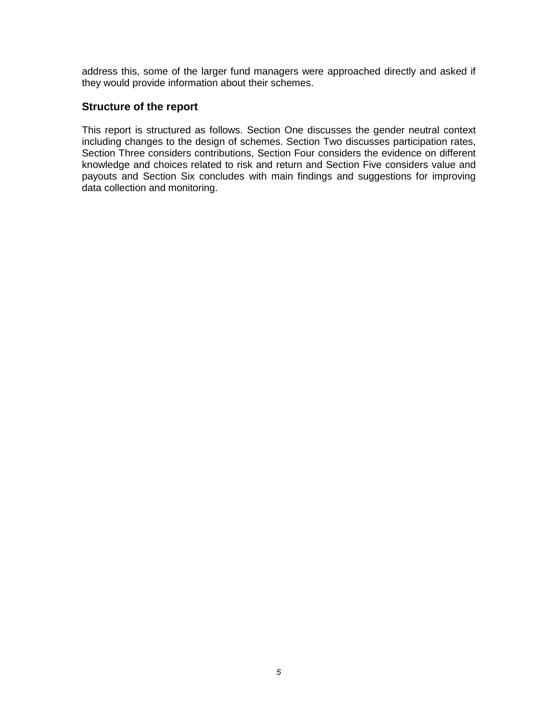address this, some of the larger fund managers were approached directly and asked if they would provide information about their schemes.

# **Structure of the report**

This report is structured as follows. Section One discusses the gender neutral context including changes to the design of schemes. Section Two discusses participation rates, Section Three considers contributions, Section Four considers the evidence on different knowledge and choices related to risk and return and Section Five considers value and payouts and Section Six concludes with main findings and suggestions for improving data collection and monitoring.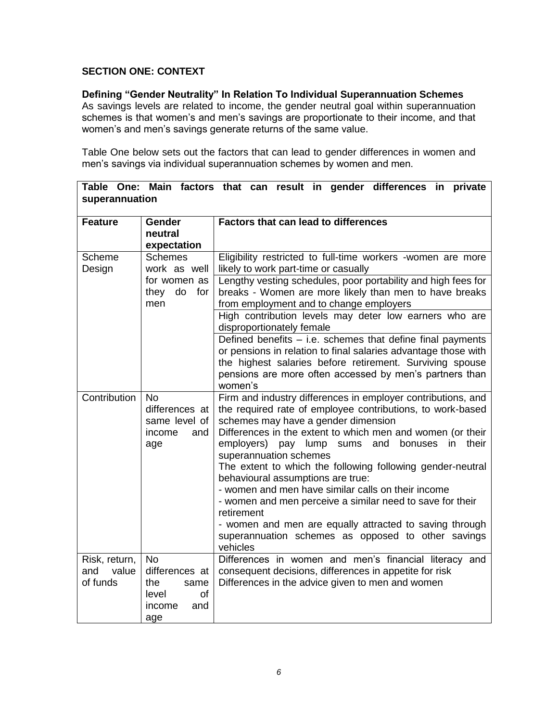# **SECTION ONE: CONTEXT**

# **Defining "Gender Neutrality" In Relation To Individual Superannuation Schemes**

As savings levels are related to income, the gender neutral goal within superannuation schemes is that women's and men's savings are proportionate to their income, and that women's and men's savings generate returns of the same value.

Table One below sets out the factors that can lead to gender differences in women and men's savings via individual superannuation schemes by women and men.

**Table One: Main factors that can result in gender differences in private** 

| superannuation                            |                                                                                          |                                                                                                                                                                                                                                                                                                                                                                                                                                                                                                                                                                                                                                                                                         |  |  |
|-------------------------------------------|------------------------------------------------------------------------------------------|-----------------------------------------------------------------------------------------------------------------------------------------------------------------------------------------------------------------------------------------------------------------------------------------------------------------------------------------------------------------------------------------------------------------------------------------------------------------------------------------------------------------------------------------------------------------------------------------------------------------------------------------------------------------------------------------|--|--|
| <b>Feature</b>                            | Gender<br>neutral<br>expectation                                                         | <b>Factors that can lead to differences</b>                                                                                                                                                                                                                                                                                                                                                                                                                                                                                                                                                                                                                                             |  |  |
| Scheme<br>Design                          | <b>Schemes</b><br>work as well                                                           | Eligibility restricted to full-time workers -women are more<br>likely to work part-time or casually                                                                                                                                                                                                                                                                                                                                                                                                                                                                                                                                                                                     |  |  |
|                                           | for women as<br>for<br>they<br>do<br>men                                                 | Lengthy vesting schedules, poor portability and high fees for<br>breaks - Women are more likely than men to have breaks<br>from employment and to change employers                                                                                                                                                                                                                                                                                                                                                                                                                                                                                                                      |  |  |
|                                           |                                                                                          | High contribution levels may deter low earners who are<br>disproportionately female                                                                                                                                                                                                                                                                                                                                                                                                                                                                                                                                                                                                     |  |  |
|                                           |                                                                                          | Defined benefits - i.e. schemes that define final payments<br>or pensions in relation to final salaries advantage those with                                                                                                                                                                                                                                                                                                                                                                                                                                                                                                                                                            |  |  |
|                                           |                                                                                          | the highest salaries before retirement. Surviving spouse<br>pensions are more often accessed by men's partners than<br>women's                                                                                                                                                                                                                                                                                                                                                                                                                                                                                                                                                          |  |  |
| Contribution                              | <b>No</b><br>differences at<br>same level of<br>income<br>and<br>age                     | Firm and industry differences in employer contributions, and<br>the required rate of employee contributions, to work-based<br>schemes may have a gender dimension<br>Differences in the extent to which men and women (or their<br>employers) pay lump sums<br>and<br>bonuses<br>in<br>their<br>superannuation schemes<br>The extent to which the following following gender-neutral<br>behavioural assumptions are true:<br>- women and men have similar calls on their income<br>- women and men perceive a similar need to save for their<br>retirement<br>- women and men are equally attracted to saving through<br>superannuation schemes as opposed to other savings<br>vehicles |  |  |
| Risk, return,<br>and<br>value<br>of funds | <b>No</b><br>differences at<br>the<br>same<br><b>of</b><br>level<br>and<br>income<br>age | Differences in women and men's financial literacy and<br>consequent decisions, differences in appetite for risk<br>Differences in the advice given to men and women                                                                                                                                                                                                                                                                                                                                                                                                                                                                                                                     |  |  |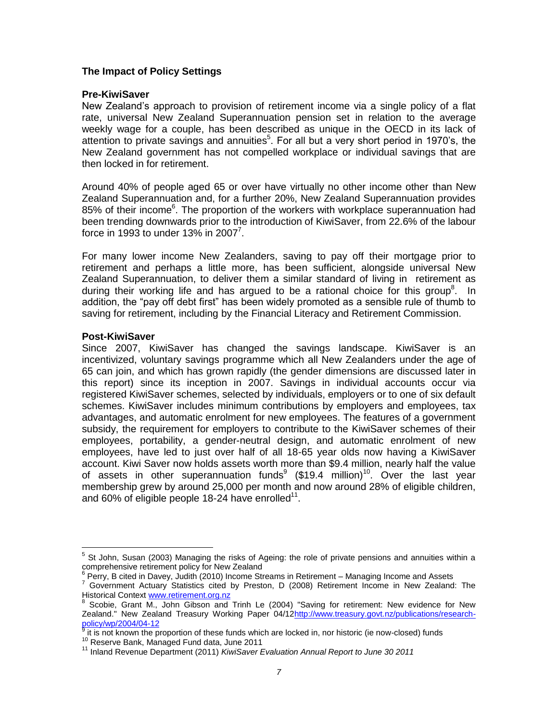# **The Impact of Policy Settings**

#### **Pre-KiwiSaver**

New Zealand's approach to provision of retirement income via a single policy of a flat rate, universal New Zealand Superannuation pension set in relation to the average weekly wage for a couple, has been described as unique in the OECD in its lack of attention to private savings and annuities<sup>5</sup>. For all but a very short period in 1970's, the New Zealand government has not compelled workplace or individual savings that are then locked in for retirement.

Around 40% of people aged 65 or over have virtually no other income other than New Zealand Superannuation and, for a further 20%, New Zealand Superannuation provides 85% of their income<sup>6</sup>. The proportion of the workers with workplace superannuation had been trending downwards prior to the introduction of KiwiSaver, from 22.6% of the labour force in 1993 to under 13% in 2007<sup>7</sup>.

For many lower income New Zealanders, saving to pay off their mortgage prior to retirement and perhaps a little more, has been sufficient, alongside universal New Zealand Superannuation, to deliver them a similar standard of living in retirement as during their working life and has argued to be a rational choice for this group<sup>8</sup>. In addition, the "pay off debt first" has been widely promoted as a sensible rule of thumb to saving for retirement, including by the Financial Literacy and Retirement Commission.

#### **Post-KiwiSaver**

 $\overline{a}$ 

Since 2007, KiwiSaver has changed the savings landscape. KiwiSaver is an incentivized, voluntary savings programme which all New Zealanders under the age of 65 can join, and which has grown rapidly (the gender dimensions are discussed later in this report) since its inception in 2007. Savings in individual accounts occur via registered KiwiSaver schemes, selected by individuals, employers or to one of six default schemes. KiwiSaver includes minimum contributions by employers and employees, tax advantages, and automatic enrolment for new employees. The features of a government subsidy, the requirement for employers to contribute to the KiwiSaver schemes of their employees, portability, a gender-neutral design, and automatic enrolment of new employees, have led to just over half of all 18-65 year olds now having a KiwiSaver account. Kiwi Saver now holds assets worth more than \$9.4 million, nearly half the value of assets in other superannuation funds<sup>9</sup> (\$19.4 million)<sup>10</sup>. Over the last year membership grew by around 25,000 per month and now around 28% of eligible children, and 60% of eligible people 18-24 have enrolled<sup>11</sup>.

<sup>5</sup> St John, Susan (2003) Managing the risks of Ageing: the role of private pensions and annuities within a comprehensive retirement policy for New Zealand

 $6$  Perry, B cited in Davey, Judith (2010) Income Streams in Retirement – Managing Income and Assets

<sup>7</sup> Government Actuary Statistics cited by Preston, D (2008) Retirement Income in New Zealand: The Historical Context **www.retirement.org.nz**<br><sup>8</sup> Seebie Crept Mullebn Cibeen and

Scobie, Grant M., John Gibson and Trinh Le (2004) "Saving for retirement: New evidence for New Zealand." New Zealand Treasury Working Paper 04/1[2http://www.treasury.govt.nz/publications/research](http://www.treasury.govt.nz/publications/research-policy/wp/2004/04-12)[policy/wp/2004/04-12](http://www.treasury.govt.nz/publications/research-policy/wp/2004/04-12)

it is not known the proportion of these funds which are locked in, nor historic (ie now-closed) funds

<sup>&</sup>lt;sup>10</sup> Reserve Bank, Managed Fund data, June 2011

<sup>11</sup> Inland Revenue Department (2011) *KiwiSaver Evaluation Annual Report to June 30 2011*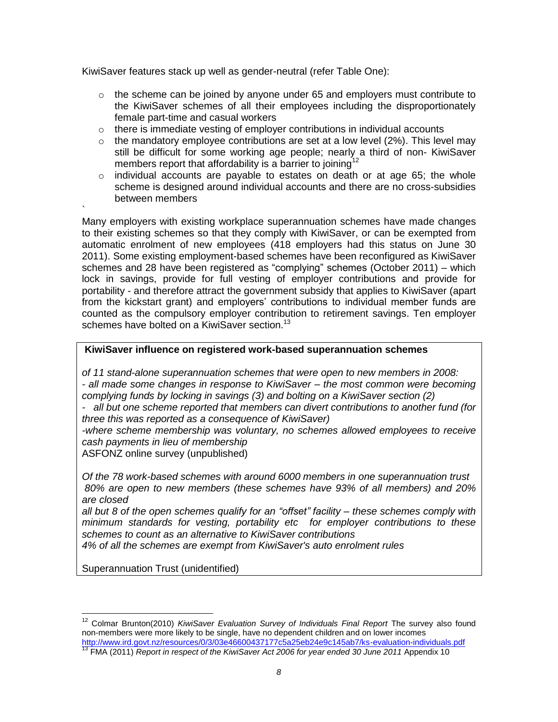KiwiSaver features stack up well as gender-neutral (refer Table One):

- $\circ$  the scheme can be joined by anyone under 65 and employers must contribute to the KiwiSaver schemes of all their employees including the disproportionately female part-time and casual workers
- $\circ$  there is immediate vesting of employer contributions in individual accounts
- $\circ$  the mandatory employee contributions are set at a low level (2%). This level may still be difficult for some working age people; nearly a third of non- KiwiSaver members report that affordability is a barrier to joining<sup>12</sup>
- individual accounts are payable to estates on death or at age 65; the whole scheme is designed around individual accounts and there are no cross-subsidies between members

Many employers with existing workplace superannuation schemes have made changes to their existing schemes so that they comply with KiwiSaver, or can be exempted from automatic enrolment of new employees (418 employers had this status on June 30 2011). Some existing employment-based schemes have been reconfigured as KiwiSaver schemes and 28 have been registered as "complying" schemes (October 2011) – which lock in savings, provide for full vesting of employer contributions and provide for portability - and therefore attract the government subsidy that applies to KiwiSaver (apart from the kickstart grant) and employers' contributions to individual member funds are counted as the compulsory employer contribution to retirement savings. Ten employer schemes have bolted on a KiwiSaver section.<sup>13</sup>

# **KiwiSaver influence on registered work-based superannuation schemes**

*of 11 stand-alone superannuation schemes that were open to new members in 2008: - all made some changes in response to KiwiSaver – the most common were becoming complying funds by locking in savings (3) and bolting on a KiwiSaver section (2)* 

*- all but one scheme reported that members can divert contributions to another fund (for three this was reported as a consequence of KiwiSaver)*

*-where scheme membership was voluntary, no schemes allowed employees to receive cash payments in lieu of membership* 

ASFONZ online survey (unpublished)

`

*Of the 78 work-based schemes with around 6000 members in one superannuation trust 80% are open to new members (these schemes have 93% of all members) and 20% are closed*

*all but 8 of the open schemes qualify for an "offset" facility – these schemes comply with minimum standards for vesting, portability etc for employer contributions to these schemes to count as an alternative to KiwiSaver contributions*

*4% of all the schemes are exempt from KiwiSaver's auto enrolment rules* 

Superannuation Trust (unidentified)

 $\overline{a}$ <sup>12</sup> Colmar Brunton(2010) *KiwiSaver Evaluation Survey of Individuals Final Report* The survey also found non-members were more likely to be single, have no dependent children and on lower incomes <http://www.ird.govt.nz/resources/0/3/03e46600437177c5a25eb24e9c145ab7/ks-evaluation-individuals.pdf>

<sup>&</sup>lt;sup>13</sup> FMA (2011) *Report in respect of the KiwiSaver Act 2006 for year ended 30 June 2011* Appendix 10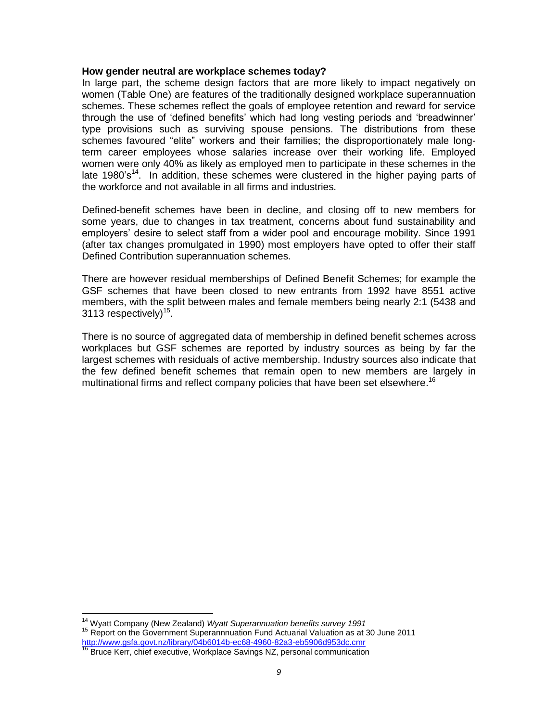#### **How gender neutral are workplace schemes today?**

In large part, the scheme design factors that are more likely to impact negatively on women (Table One) are features of the traditionally designed workplace superannuation schemes. These schemes reflect the goals of employee retention and reward for service through the use of 'defined benefits' which had long vesting periods and 'breadwinner' type provisions such as surviving spouse pensions. The distributions from these schemes favoured "elite" workers and their families; the disproportionately male longterm career employees whose salaries increase over their working life. Employed women were only 40% as likely as employed men to participate in these schemes in the late 1980's<sup>14</sup>. In addition, these schemes were clustered in the higher paying parts of the workforce and not available in all firms and industries.

Defined-benefit schemes have been in decline, and closing off to new members for some years, due to changes in tax treatment, concerns about fund sustainability and employers' desire to select staff from a wider pool and encourage mobility. Since 1991 (after tax changes promulgated in 1990) most employers have opted to offer their staff Defined Contribution superannuation schemes.

There are however residual memberships of Defined Benefit Schemes; for example the GSF schemes that have been closed to new entrants from 1992 have 8551 active members, with the split between males and female members being nearly 2:1 (5438 and 3113 respectively) $15$ .

There is no source of aggregated data of membership in defined benefit schemes across workplaces but GSF schemes are reported by industry sources as being by far the largest schemes with residuals of active membership. Industry sources also indicate that the few defined benefit schemes that remain open to new members are largely in multinational firms and reflect company policies that have been set elsewhere.<sup>16</sup>

 $\overline{a}$ <sup>14</sup> Wyatt Company (New Zealand) *Wyatt Superannuation benefits survey 1991* <sup>15</sup> Report on the Government Superannnuation Fund Actuarial Valuation as at 30 June 2011 <http://www.gsfa.govt.nz/library/04b6014b-ec68-4960-82a3-eb5906d953dc.cmr>

<sup>&</sup>lt;sup>16</sup> Bruce Kerr, chief executive, Workplace Savings NZ, personal communication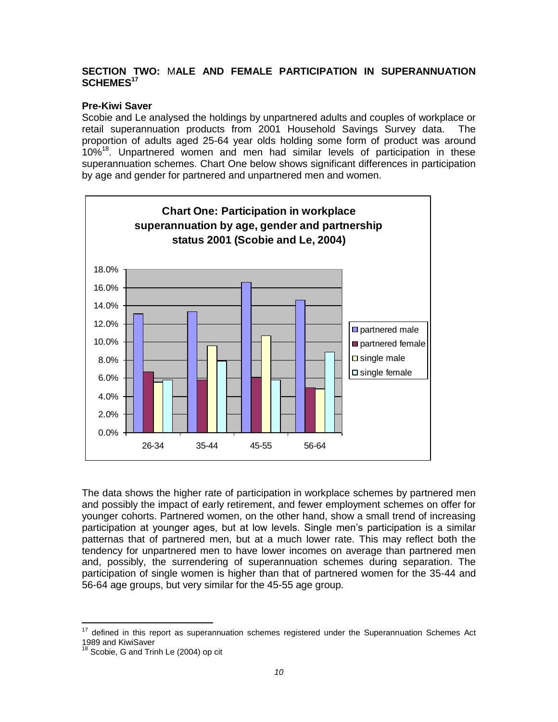# **SECTION TWO:** M**ALE AND FEMALE PARTICIPATION IN SUPERANNUATION SCHEMES<sup>17</sup>**

# **Pre-Kiwi Saver**

Scobie and Le analysed the holdings by unpartnered adults and couples of workplace or retail superannuation products from 2001 Household Savings Survey data. The proportion of adults aged 25-64 year olds holding some form of product was around 10%<sup>18</sup>. Unpartnered women and men had similar levels of participation in these superannuation schemes. Chart One below shows significant differences in participation by age and gender for partnered and unpartnered men and women.



The data shows the higher rate of participation in workplace schemes by partnered men and possibly the impact of early retirement, and fewer employment schemes on offer for younger cohorts. Partnered women, on the other hand, show a small trend of increasing participation at younger ages, but at low levels. Single men's participation is a similar patternas that of partnered men, but at a much lower rate. This may reflect both the tendency for unpartnered men to have lower incomes on average than partnered men and, possibly, the surrendering of superannuation schemes during separation. The participation of single women is higher than that of partnered women for the 35-44 and 56-64 age groups, but very similar for the 45-55 age group.

 $\overline{a}$  $17$  defined in this report as superannuation schemes registered under the Superannuation Schemes Act 1989 and KiwiSaver

 $18$  Scobie, G and Trinh Le (2004) op cit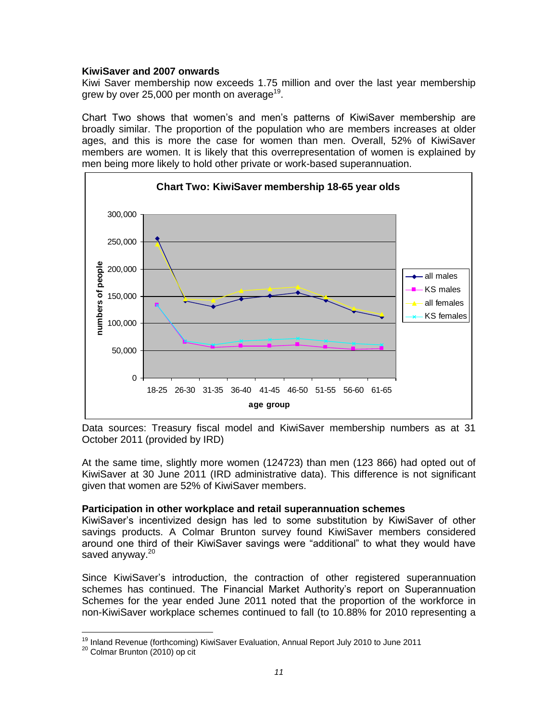### **KiwiSaver and 2007 onwards**

Kiwi Saver membership now exceeds 1.75 million and over the last year membership grew by over 25,000 per month on average<sup>19</sup>.

Chart Two shows that women's and men's patterns of KiwiSaver membership are broadly similar. The proportion of the population who are members increases at older ages, and this is more the case for women than men. Overall, 52% of KiwiSaver members are women. It is likely that this overrepresentation of women is explained by men being more likely to hold other private or work-based superannuation.



Data sources: Treasury fiscal model and KiwiSaver membership numbers as at 31 October 2011 (provided by IRD)

At the same time, slightly more women (124723) than men (123 866) had opted out of KiwiSaver at 30 June 2011 (IRD administrative data). This difference is not significant given that women are 52% of KiwiSaver members.

#### **Participation in other workplace and retail superannuation schemes**

KiwiSaver's incentivized design has led to some substitution by KiwiSaver of other savings products. A Colmar Brunton survey found KiwiSaver members considered around one third of their KiwiSaver savings were "additional" to what they would have saved anyway.<sup>20</sup>

Since KiwiSaver's introduction, the contraction of other registered superannuation schemes has continued. The Financial Market Authority's report on Superannuation Schemes for the year ended June 2011 noted that the proportion of the workforce in non-KiwiSaver workplace schemes continued to fall (to 10.88% for 2010 representing a

 $\overline{a}$ 

<sup>&</sup>lt;sup>19</sup> Inland Revenue (forthcoming) KiwiSaver Evaluation, Annual Report July 2010 to June 2011

<sup>&</sup>lt;sup>20</sup> Colmar Brunton (2010) op cit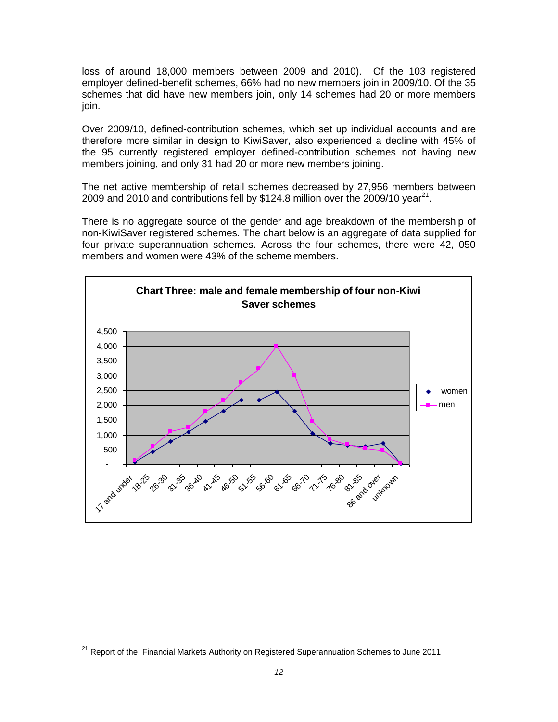loss of around 18,000 members between 2009 and 2010). Of the 103 registered employer defined-benefit schemes, 66% had no new members join in 2009/10. Of the 35 schemes that did have new members join, only 14 schemes had 20 or more members join.

Over 2009/10, defined-contribution schemes, which set up individual accounts and are therefore more similar in design to KiwiSaver, also experienced a decline with 45% of the 95 currently registered employer defined-contribution schemes not having new members joining, and only 31 had 20 or more new members joining.

The net active membership of retail schemes decreased by 27,956 members between 2009 and 2010 and contributions fell by \$124.8 million over the 2009/10 year<sup>21</sup>.

There is no aggregate source of the gender and age breakdown of the membership of non-KiwiSaver registered schemes. The chart below is an aggregate of data supplied for four private superannuation schemes. Across the four schemes, there were 42, 050 members and women were 43% of the scheme members.



 $\overline{a}$ <sup>21</sup> Report of the Financial Markets Authority on Registered Superannuation Schemes to June 2011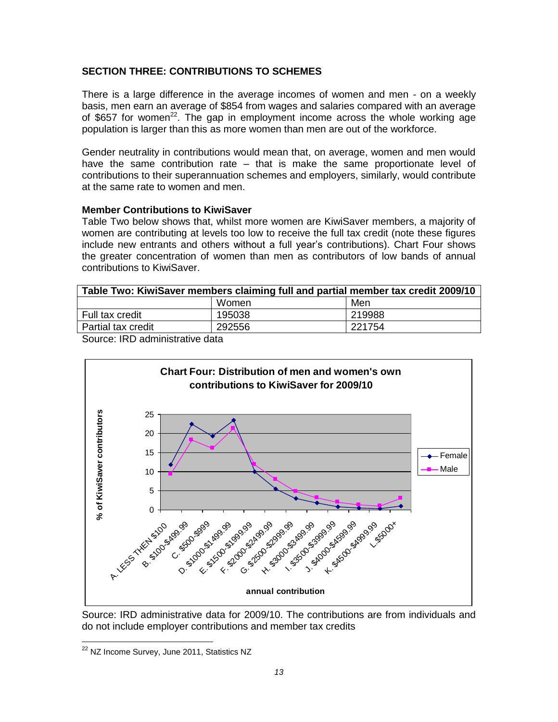# **SECTION THREE: CONTRIBUTIONS TO SCHEMES**

There is a large difference in the average incomes of women and men - on a weekly basis, men earn an average of \$854 from wages and salaries compared with an average of \$657 for women<sup>22</sup>. The gap in employment income across the whole working age population is larger than this as more women than men are out of the workforce.

Gender neutrality in contributions would mean that, on average, women and men would have the same contribution rate – that is make the same proportionate level of contributions to their superannuation schemes and employers, similarly, would contribute at the same rate to women and men.

# **Member Contributions to KiwiSaver**

Table Two below shows that, whilst more women are KiwiSaver members, a majority of women are contributing at levels too low to receive the full tax credit (note these figures include new entrants and others without a full year's contributions). Chart Four shows the greater concentration of women than men as contributors of low bands of annual contributions to KiwiSaver.

| Table Two: KiwiSaver members claiming full and partial member tax credit 2009/10 |        |        |  |  |
|----------------------------------------------------------------------------------|--------|--------|--|--|
|                                                                                  | Women  | Men    |  |  |
| Full tax credit                                                                  | 195038 | 219988 |  |  |
| Partial tax credit                                                               | 292556 | 221754 |  |  |

Source: IRD administrative data



Source: IRD administrative data for 2009/10. The contributions are from individuals and do not include employer contributions and member tax credits

 $\overline{a}$ 

<sup>&</sup>lt;sup>22</sup> NZ Income Survey, June 2011, Statistics NZ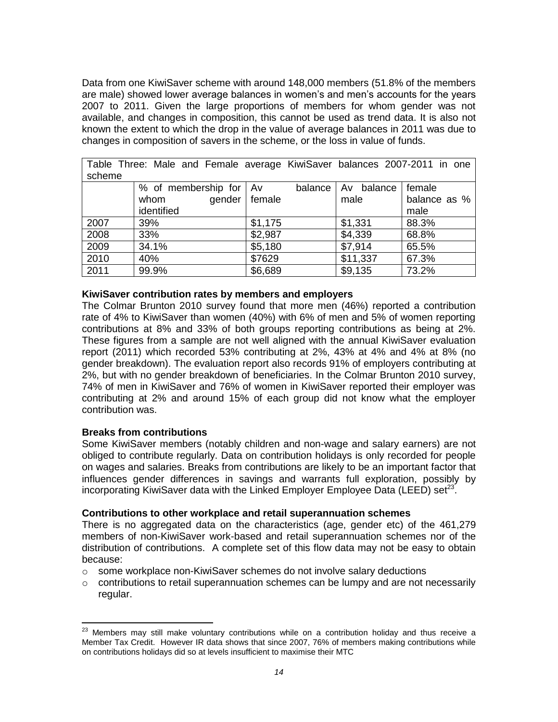Data from one KiwiSaver scheme with around 148,000 members (51.8% of the members are male) showed lower average balances in women's and men's accounts for the years 2007 to 2011. Given the large proportions of members for whom gender was not available, and changes in composition, this cannot be used as trend data. It is also not known the extent to which the drop in the value of average balances in 2011 was due to changes in composition of savers in the scheme, or the loss in value of funds.

| $1$ able $111$ ce. Male and I childle average Kiwi Javel Dalances ZUUT-ZUTT In UITE |                        |         |                      |              |  |  |
|-------------------------------------------------------------------------------------|------------------------|---------|----------------------|--------------|--|--|
| scheme                                                                              |                        |         |                      |              |  |  |
|                                                                                     | % of membership for Av |         | balance   Av balance | female       |  |  |
|                                                                                     | gender  <br>whom       | female  | male                 | balance as % |  |  |
|                                                                                     | identified             |         |                      | male         |  |  |
| 2007                                                                                | 39%                    | \$1,175 | \$1,331              | 88.3%        |  |  |
| 2008                                                                                | 33%                    | \$2,987 | \$4,339              | 68.8%        |  |  |
| 2009                                                                                | 34.1%                  | \$5,180 | \$7,914              | 65.5%        |  |  |
| 2010                                                                                | 40%                    | \$7629  | \$11,337             | 67.3%        |  |  |
| 2011                                                                                | 99.9%                  | \$6,689 | \$9,135              | 73.2%        |  |  |

Table Three: Male and Female average KiwiSaver balances 2007-2011 in one

#### **KiwiSaver contribution rates by members and employers**

The Colmar Brunton 2010 survey found that more men (46%) reported a contribution rate of 4% to KiwiSaver than women (40%) with 6% of men and 5% of women reporting contributions at 8% and 33% of both groups reporting contributions as being at 2%. These figures from a sample are not well aligned with the annual KiwiSaver evaluation report (2011) which recorded 53% contributing at 2%, 43% at 4% and 4% at 8% (no gender breakdown). The evaluation report also records 91% of employers contributing at 2%, but with no gender breakdown of beneficiaries. In the Colmar Brunton 2010 survey, 74% of men in KiwiSaver and 76% of women in KiwiSaver reported their employer was contributing at 2% and around 15% of each group did not know what the employer contribution was.

#### **Breaks from contributions**

 $\overline{a}$ 

Some KiwiSaver members (notably children and non-wage and salary earners) are not obliged to contribute regularly. Data on contribution holidays is only recorded for people on wages and salaries. Breaks from contributions are likely to be an important factor that influences gender differences in savings and warrants full exploration, possibly by incorporating KiwiSaver data with the Linked Employer Employee Data (LEED) set<sup>23</sup>.

#### **Contributions to other workplace and retail superannuation schemes**

There is no aggregated data on the characteristics (age, gender etc) of the 461,279 members of non-KiwiSaver work-based and retail superannuation schemes nor of the distribution of contributions. A complete set of this flow data may not be easy to obtain because:

- o some workplace non-KiwiSaver schemes do not involve salary deductions
- $\circ$  contributions to retail superannuation schemes can be lumpy and are not necessarily regular.

 $^{23}$  Members may still make voluntary contributions while on a contribution holiday and thus receive a Member Tax Credit. However IR data shows that since 2007, 76% of members making contributions while on contributions holidays did so at levels insufficient to maximise their MTC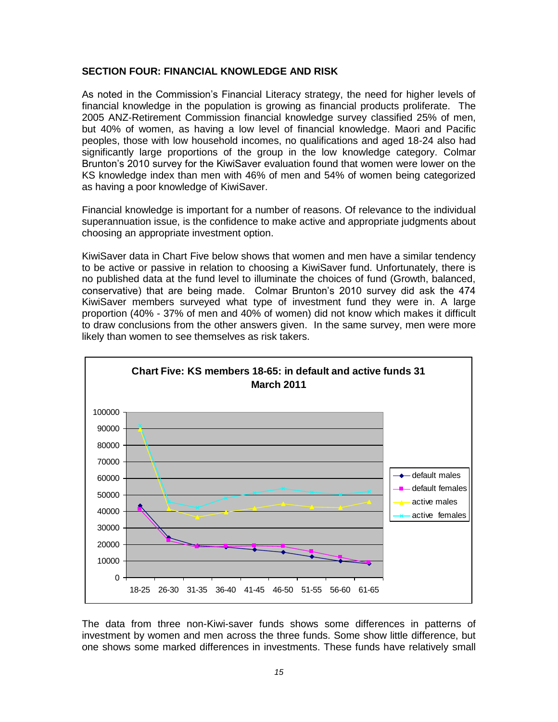### **SECTION FOUR: FINANCIAL KNOWLEDGE AND RISK**

As noted in the Commission's Financial Literacy strategy, the need for higher levels of financial knowledge in the population is growing as financial products proliferate. The 2005 ANZ-Retirement Commission financial knowledge survey classified 25% of men, but 40% of women, as having a low level of financial knowledge. Maori and Pacific peoples, those with low household incomes, no qualifications and aged 18-24 also had significantly large proportions of the group in the low knowledge category. Colmar Brunton's 2010 survey for the KiwiSaver evaluation found that women were lower on the KS knowledge index than men with 46% of men and 54% of women being categorized as having a poor knowledge of KiwiSaver.

Financial knowledge is important for a number of reasons. Of relevance to the individual superannuation issue, is the confidence to make active and appropriate judgments about choosing an appropriate investment option.

KiwiSaver data in Chart Five below shows that women and men have a similar tendency to be active or passive in relation to choosing a KiwiSaver fund. Unfortunately, there is no published data at the fund level to illuminate the choices of fund (Growth, balanced, conservative) that are being made. Colmar Brunton's 2010 survey did ask the 474 KiwiSaver members surveyed what type of investment fund they were in. A large proportion (40% - 37% of men and 40% of women) did not know which makes it difficult to draw conclusions from the other answers given. In the same survey, men were more likely than women to see themselves as risk takers.



The data from three non-Kiwi-saver funds shows some differences in patterns of investment by women and men across the three funds. Some show little difference, but one shows some marked differences in investments. These funds have relatively small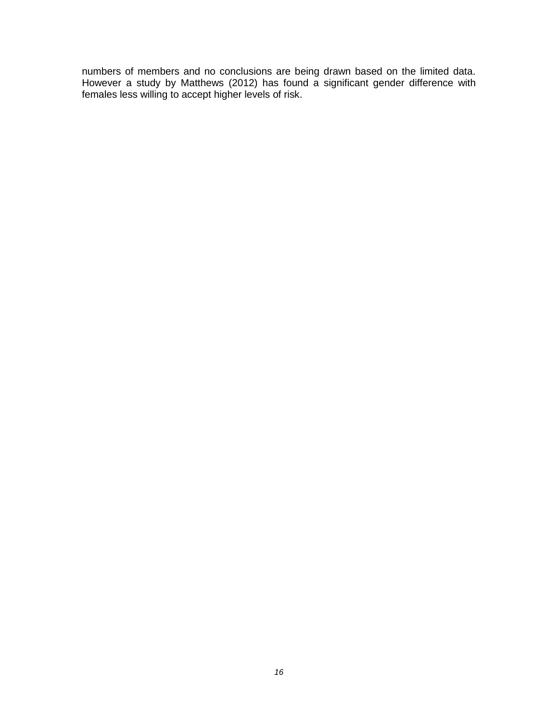numbers of members and no conclusions are being drawn based on the limited data. However a study by Matthews (2012) has found a significant gender difference with females less willing to accept higher levels of risk.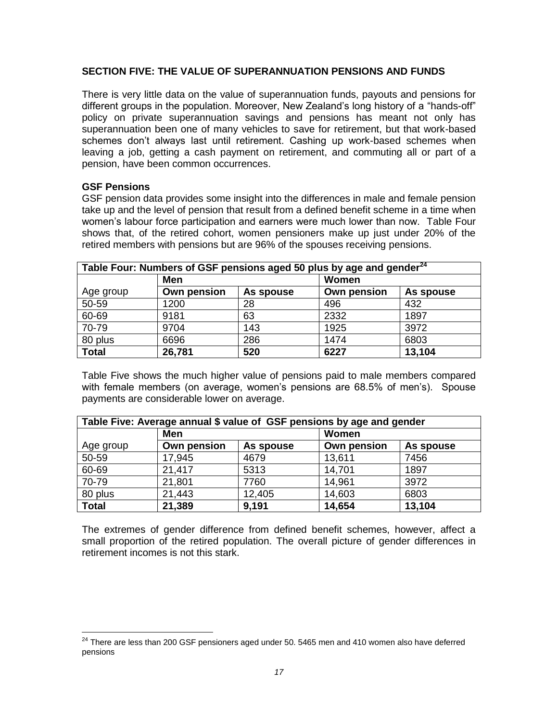# **SECTION FIVE: THE VALUE OF SUPERANNUATION PENSIONS AND FUNDS**

There is very little data on the value of superannuation funds, payouts and pensions for different groups in the population. Moreover, New Zealand's long history of a "hands-off" policy on private superannuation savings and pensions has meant not only has superannuation been one of many vehicles to save for retirement, but that work-based schemes don't always last until retirement. Cashing up work-based schemes when leaving a job, getting a cash payment on retirement, and commuting all or part of a pension, have been common occurrences.

#### **GSF Pensions**

 $\overline{a}$ 

GSF pension data provides some insight into the differences in male and female pension take up and the level of pension that result from a defined benefit scheme in a time when women's labour force participation and earners were much lower than now. Table Four shows that, of the retired cohort, women pensioners make up just under 20% of the retired members with pensions but are 96% of the spouses receiving pensions.

| Table Four: Numbers of GSF pensions aged 50 plus by age and gender <sup>24</sup> |             |           |             |           |  |
|----------------------------------------------------------------------------------|-------------|-----------|-------------|-----------|--|
|                                                                                  | Men         |           | Women       |           |  |
| Age group                                                                        | Own pension | As spouse | Own pension | As spouse |  |
| 50-59                                                                            | 1200        | 28        | 496         | 432       |  |
| 60-69                                                                            | 9181        | 63        | 2332        | 1897      |  |
| 70-79                                                                            | 9704        | 143       | 1925        | 3972      |  |
| 80 plus                                                                          | 6696        | 286       | 1474        | 6803      |  |
| <b>Total</b>                                                                     | 26,781      | 520       | 6227        | 13,104    |  |

Table Five shows the much higher value of pensions paid to male members compared with female members (on average, women's pensions are 68.5% of men's). Spouse payments are considerable lower on average.

| Table Five: Average annual \$ value of GSF pensions by age and gender |             |           |             |           |
|-----------------------------------------------------------------------|-------------|-----------|-------------|-----------|
|                                                                       | Men         |           | Women       |           |
| Age group                                                             | Own pension | As spouse | Own pension | As spouse |
| 50-59                                                                 | 17,945      | 4679      | 13,611      | 7456      |
| 60-69                                                                 | 21,417      | 5313      | 14,701      | 1897      |
| 70-79                                                                 | 21,801      | 7760      | 14,961      | 3972      |
| 80 plus                                                               | 21,443      | 12,405    | 14,603      | 6803      |
| <b>Total</b>                                                          | 21,389      | 9,191     | 14,654      | 13,104    |

The extremes of gender difference from defined benefit schemes, however, affect a small proportion of the retired population. The overall picture of gender differences in retirement incomes is not this stark.

 $^{24}$  There are less than 200 GSF pensioners aged under 50. 5465 men and 410 women also have deferred pensions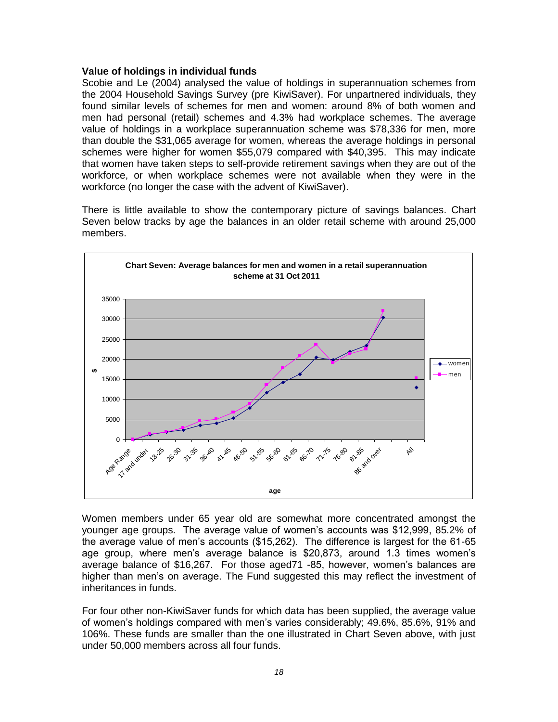### **Value of holdings in individual funds**

Scobie and Le (2004) analysed the value of holdings in superannuation schemes from the 2004 Household Savings Survey (pre KiwiSaver). For unpartnered individuals, they found similar levels of schemes for men and women: around 8% of both women and men had personal (retail) schemes and 4.3% had workplace schemes. The average value of holdings in a workplace superannuation scheme was \$78,336 for men, more than double the \$31,065 average for women, whereas the average holdings in personal schemes were higher for women \$55,079 compared with \$40,395. This may indicate that women have taken steps to self-provide retirement savings when they are out of the workforce, or when workplace schemes were not available when they were in the workforce (no longer the case with the advent of KiwiSaver).

There is little available to show the contemporary picture of savings balances. Chart Seven below tracks by age the balances in an older retail scheme with around 25,000 members.



Women members under 65 year old are somewhat more concentrated amongst the younger age groups. The average value of women's accounts was \$12,999, 85.2% of the average value of men's accounts (\$15,262). The difference is largest for the 61-65 age group, where men's average balance is \$20,873, around 1.3 times women's average balance of \$16,267. For those aged71 -85, however, women's balances are higher than men's on average. The Fund suggested this may reflect the investment of inheritances in funds.

For four other non-KiwiSaver funds for which data has been supplied, the average value of women's holdings compared with men's varies considerably; 49.6%, 85.6%, 91% and 106%. These funds are smaller than the one illustrated in Chart Seven above, with just under 50,000 members across all four funds.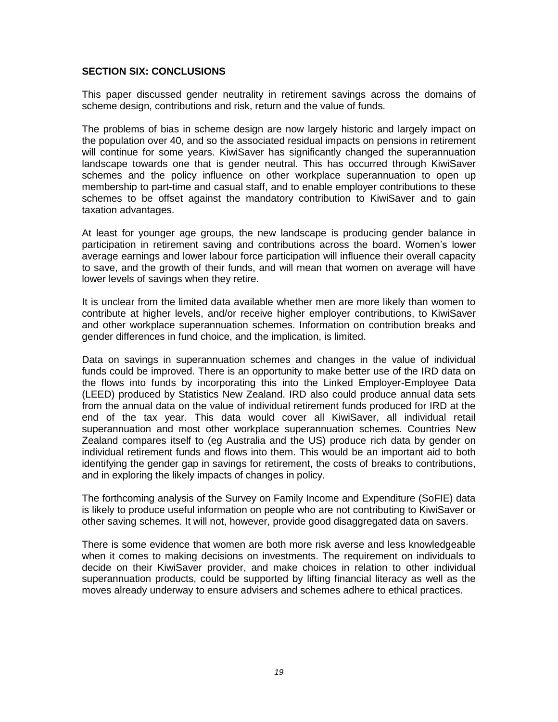### **SECTION SIX: CONCLUSIONS**

This paper discussed gender neutrality in retirement savings across the domains of scheme design, contributions and risk, return and the value of funds.

The problems of bias in scheme design are now largely historic and largely impact on the population over 40, and so the associated residual impacts on pensions in retirement will continue for some years. KiwiSaver has significantly changed the superannuation landscape towards one that is gender neutral. This has occurred through KiwiSaver schemes and the policy influence on other workplace superannuation to open up membership to part-time and casual staff, and to enable employer contributions to these schemes to be offset against the mandatory contribution to KiwiSaver and to gain taxation advantages.

At least for younger age groups, the new landscape is producing gender balance in participation in retirement saving and contributions across the board. Women's lower average earnings and lower labour force participation will influence their overall capacity to save, and the growth of their funds, and will mean that women on average will have lower levels of savings when they retire.

It is unclear from the limited data available whether men are more likely than women to contribute at higher levels, and/or receive higher employer contributions, to KiwiSaver and other workplace superannuation schemes. Information on contribution breaks and gender differences in fund choice, and the implication, is limited.

Data on savings in superannuation schemes and changes in the value of individual funds could be improved. There is an opportunity to make better use of the IRD data on the flows into funds by incorporating this into the Linked Employer-Employee Data (LEED) produced by Statistics New Zealand. IRD also could produce annual data sets from the annual data on the value of individual retirement funds produced for IRD at the end of the tax year. This data would cover all KiwiSaver, all individual retail superannuation and most other workplace superannuation schemes. Countries New Zealand compares itself to (eg Australia and the US) produce rich data by gender on individual retirement funds and flows into them. This would be an important aid to both identifying the gender gap in savings for retirement, the costs of breaks to contributions, and in exploring the likely impacts of changes in policy.

The forthcoming analysis of the Survey on Family Income and Expenditure (SoFIE) data is likely to produce useful information on people who are not contributing to KiwiSaver or other saving schemes. It will not, however, provide good disaggregated data on savers.

There is some evidence that women are both more risk averse and less knowledgeable when it comes to making decisions on investments. The requirement on individuals to decide on their KiwiSaver provider, and make choices in relation to other individual superannuation products, could be supported by lifting financial literacy as well as the moves already underway to ensure advisers and schemes adhere to ethical practices.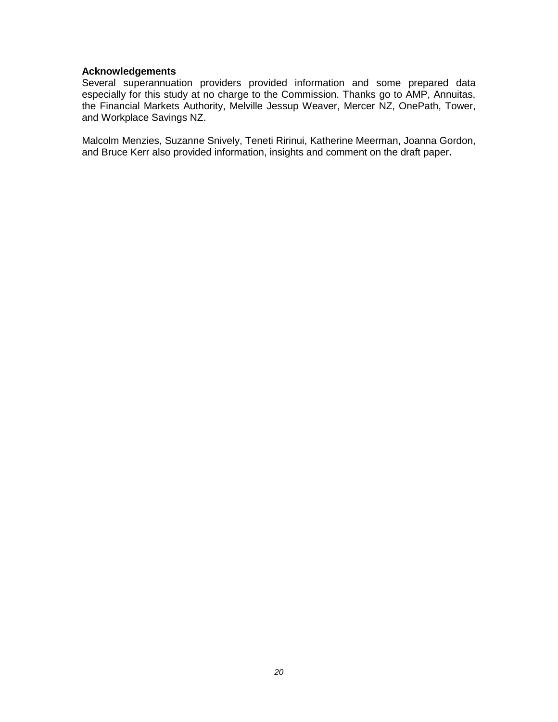# **Acknowledgements**

Several superannuation providers provided information and some prepared data especially for this study at no charge to the Commission. Thanks go to AMP, Annuitas, the Financial Markets Authority, Melville Jessup Weaver, Mercer NZ, OnePath, Tower, and Workplace Savings NZ.

Malcolm Menzies, Suzanne Snively, Teneti Ririnui, Katherine Meerman, Joanna Gordon, and Bruce Kerr also provided information, insights and comment on the draft paper**.**